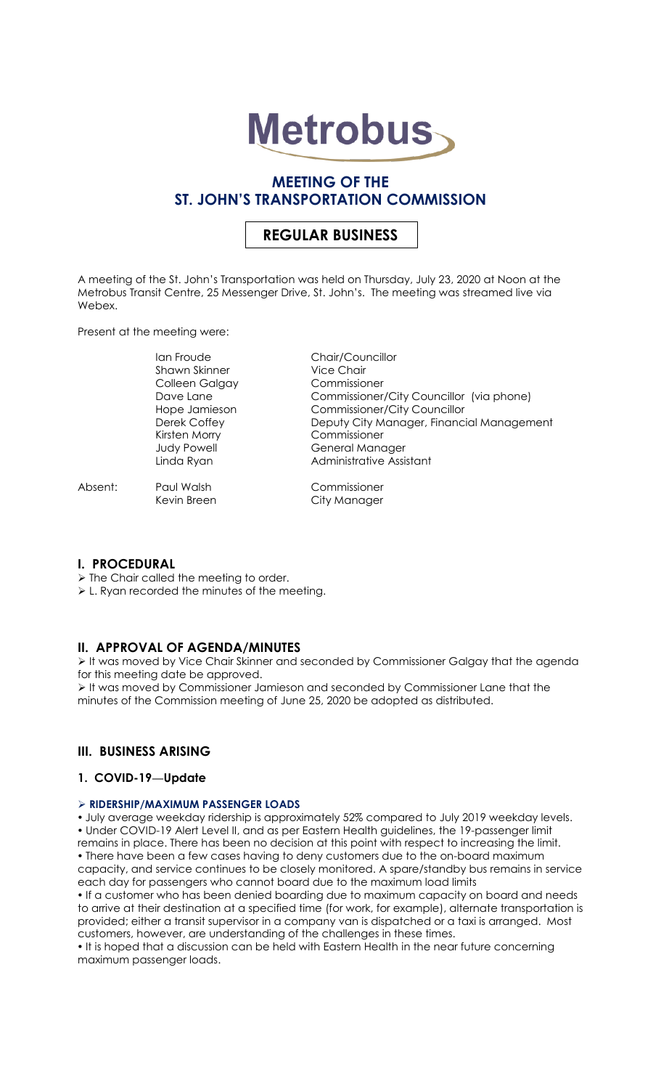

## **MEETING OF THE ST. JOHN'S TRANSPORTATION COMMISSION**

# **REGULAR BUSINESS**

A meeting of the St. John's Transportation was held on Thursday, July 23, 2020 at Noon at the Metrobus Transit Centre, 25 Messenger Drive, St. John's. The meeting was streamed live via Webex.

Present at the meeting were:

Ian Froude Chair/Councillor Shawn Skinner Vice Chair Colleen Galgay Commissioner Kirsten Morry Commissioner

Absent: Paul Walsh Commissioner

Dave Lane <sup>C</sup> in Commissioner/City Councillor (via phone) Hope Jamieson Commissioner/City Councillor<br>Deputy City Manager, Finance Deputy City Manager, Financial Management Judy Powell General Manager Linda Ryan **Administrative Assistant** 

Kevin Breen City Manager

## **I. PROCEDURAL**

 $\triangleright$  The Chair called the meeting to order.

L. Ryan recorded the minutes of the meeting.

## **II. APPROVAL OF AGENDA/MINUTES**

 It was moved by Vice Chair Skinner and seconded by Commissioner Galgay that the agenda for this meeting date be approved.

 It was moved by Commissioner Jamieson and seconded by Commissioner Lane that the minutes of the Commission meeting of June 25, 2020 be adopted as distributed.

## **III. BUSINESS ARISING**

## **1. COVID-19—Update**

## **RIDERSHIP/MAXIMUM PASSENGER LOADS**

 July average weekday ridership is approximately 52% compared to July 2019 weekday levels. Under COVID-19 Alert Level II, and as per Eastern Health guidelines, the 19-passenger limit remains in place. There has been no decision at this point with respect to increasing the limit. There have been a few cases having to deny customers due to the on-board maximum capacity, and service continues to be closely monitored. A spare/standby bus remains in service each day for passengers who cannot board due to the maximum load limits

 If a customer who has been denied boarding due to maximum capacity on board and needs to arrive at their destination at a specified time (for work, for example), alternate transportation is provided; either a transit supervisor in a company van is dispatched or a taxi is arranged. Most customers, however, are understanding of the challenges in these times.

. It is hoped that a discussion can be held with Eastern Health in the near future concerning maximum passenger loads.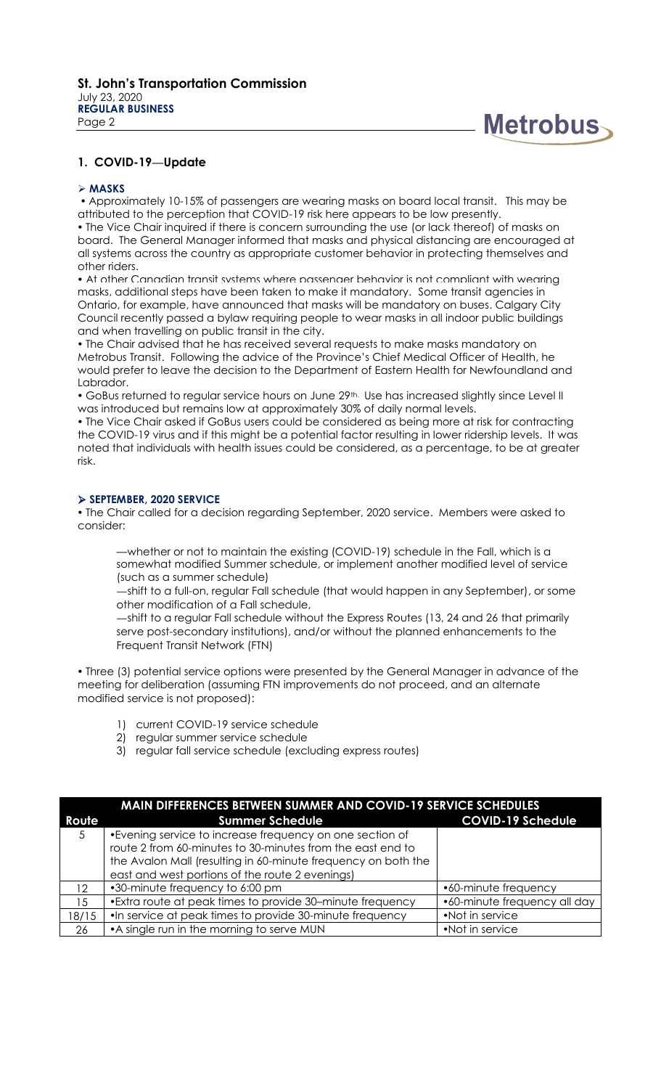

#### **MASKS**

 Approximately 10-15% of passengers are wearing masks on board local transit. This may be attributed to the perception that COVID-19 risk here appears to be low presently.

 The Vice Chair inquired if there is concern surrounding the use (or lack thereof) of masks on board. The General Manager informed that masks and physical distancing are encouraged at all systems across the country as appropriate customer behavior in protecting themselves and other riders.

 At other Canadian transit systems where passenger behavior is not compliant with wearing masks, additional steps have been taken to make it mandatory. Some transit agencies in Ontario, for example, have announced that masks will be mandatory on buses. Calgary City Council recently passed a bylaw requiring people to wear masks in all indoor public buildings and when travelling on public transit in the city.

 The Chair advised that he has received several requests to make masks mandatory on Metrobus Transit. Following the advice of the Province's Chief Medical Officer of Health, he would prefer to leave the decision to the Department of Eastern Health for Newfoundland and Labrador.

• GoBus returned to regular service hours on June 29<sup>th.</sup> Use has increased slightly since Level II was introduced but remains low at approximately 30% of daily normal levels.

 The Vice Chair asked if GoBus users could be considered as being more at risk for contracting the COVID-19 virus and if this might be a potential factor resulting in lower ridership levels. It was noted that individuals with health issues could be considered, as a percentage, to be at greater risk.

#### **SEPTEMBER, 2020 SERVICE**

 The Chair called for a decision regarding September, 2020 service. Members were asked to consider:

—whether or not to maintain the existing (COVID-19) schedule in the Fall, which is a somewhat modified Summer schedule, or implement another modified level of service (such as a summer schedule)

—shift to a full-on, regular Fall schedule (that would happen in any September), or some other modification of a Fall schedule,

—shift to a regular Fall schedule without the Express Routes (13, 24 and 26 that primarily serve post-secondary institutions), and/or without the planned enhancements to the Frequent Transit Network (FTN)

 Three (3) potential service options were presented by the General Manager in advance of the meeting for deliberation (assuming FTN improvements do not proceed, and an alternate modified service is not proposed):

- 1) current COVID-19 service schedule
- 2) regular summer service schedule
- 3) regular fall service schedule (excluding express routes)

| <b>MAIN DIFFERENCES BETWEEN SUMMER AND COVID-19 SERVICE SCHEDULES</b> |                                                               |                              |  |
|-----------------------------------------------------------------------|---------------------------------------------------------------|------------------------------|--|
| Route                                                                 | <b>Summer Schedule</b>                                        | <b>COVID-19 Schedule</b>     |  |
| 5                                                                     | •Evening service to increase frequency on one section of      |                              |  |
|                                                                       | route 2 from 60-minutes to 30-minutes from the east end to    |                              |  |
|                                                                       | the Avalon Mall (resulting in 60-minute frequency on both the |                              |  |
|                                                                       | east and west portions of the route 2 evenings)               |                              |  |
| 12.                                                                   | •30-minute frequency to 6:00 pm                               | •60-minute frequency         |  |
| 15                                                                    | • Extra route at peak times to provide 30-minute frequency    | •60-minute frequency all day |  |
| 18/15                                                                 | .In service at peak times to provide 30-minute frequency      | •Not in service              |  |
| 26                                                                    | • A single run in the morning to serve MUN                    | •Not in service              |  |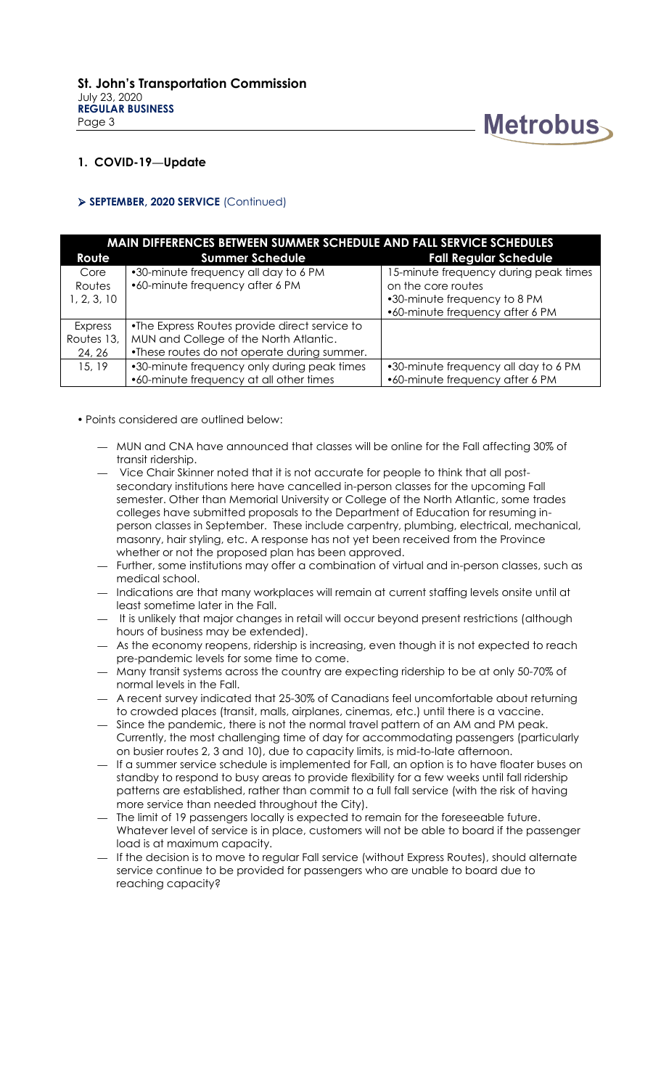

#### **SEPTEMBER, 2020 SERVICE** (Continued)

| <b>MAIN DIFFERENCES BETWEEN SUMMER SCHEDULE AND FALL SERVICE SCHEDULES</b> |                                               |                                       |  |  |
|----------------------------------------------------------------------------|-----------------------------------------------|---------------------------------------|--|--|
| Route                                                                      | <b>Summer Schedule</b>                        | <b>Fall Regular Schedule</b>          |  |  |
| Core                                                                       | •30-minute frequency all day to 6 PM          | 15-minute frequency during peak times |  |  |
| Routes                                                                     | •60-minute frequency after 6 PM               | on the core routes                    |  |  |
| 1, 2, 3, 10                                                                |                                               | •30-minute frequency to 8 PM          |  |  |
|                                                                            |                                               | •60-minute frequency after 6 PM       |  |  |
| Express                                                                    | •The Express Routes provide direct service to |                                       |  |  |
| Routes 13,                                                                 | MUN and College of the North Atlantic.        |                                       |  |  |
| 24, 26                                                                     | •These routes do not operate during summer.   |                                       |  |  |
| 15, 19                                                                     | •30-minute frequency only during peak times   | •30-minute frequency all day to 6 PM  |  |  |
|                                                                            | •60-minute frequency at all other times       | •60-minute frequency after 6 PM       |  |  |

- Points considered are outlined below:
	- MUN and CNA have announced that classes will be online for the Fall affecting 30% of transit ridership.
	- Vice Chair Skinner noted that it is not accurate for people to think that all postsecondary institutions here have cancelled in-person classes for the upcoming Fall semester. Other than Memorial University or College of the North Atlantic, some trades colleges have submitted proposals to the Department of Education for resuming inperson classes in September. These include carpentry, plumbing, electrical, mechanical, masonry, hair styling, etc. A response has not yet been received from the Province whether or not the proposed plan has been approved.
	- Further, some institutions may offer a combination of virtual and in-person classes, such as medical school.
	- Indications are that many workplaces will remain at current staffing levels onsite until at least sometime later in the Fall.
	- It is unlikely that major changes in retail will occur beyond present restrictions (although hours of business may be extended).
	- As the economy reopens, ridership is increasing, even though it is not expected to reach pre-pandemic levels for some time to come.
	- Many transit systems across the country are expecting ridership to be at only 50-70% of normal levels in the Fall.
	- A recent survey indicated that 25-30% of Canadians feel uncomfortable about returning to crowded places (transit, malls, airplanes, cinemas, etc.) until there is a vaccine.
	- Since the pandemic, there is not the normal travel pattern of an AM and PM peak. Currently, the most challenging time of day for accommodating passengers (particularly on busier routes 2, 3 and 10), due to capacity limits, is mid-to-late afternoon.
	- If a summer service schedule is implemented for Fall, an option is to have floater buses on standby to respond to busy areas to provide flexibility for a few weeks until fall ridership patterns are established, rather than commit to a full fall service (with the risk of having more service than needed throughout the City).
	- The limit of 19 passengers locally is expected to remain for the foreseeable future. Whatever level of service is in place, customers will not be able to board if the passenger load is at maximum capacity.
	- If the decision is to move to regular Fall service (without Express Routes), should alternate service continue to be provided for passengers who are unable to board due to reaching capacity?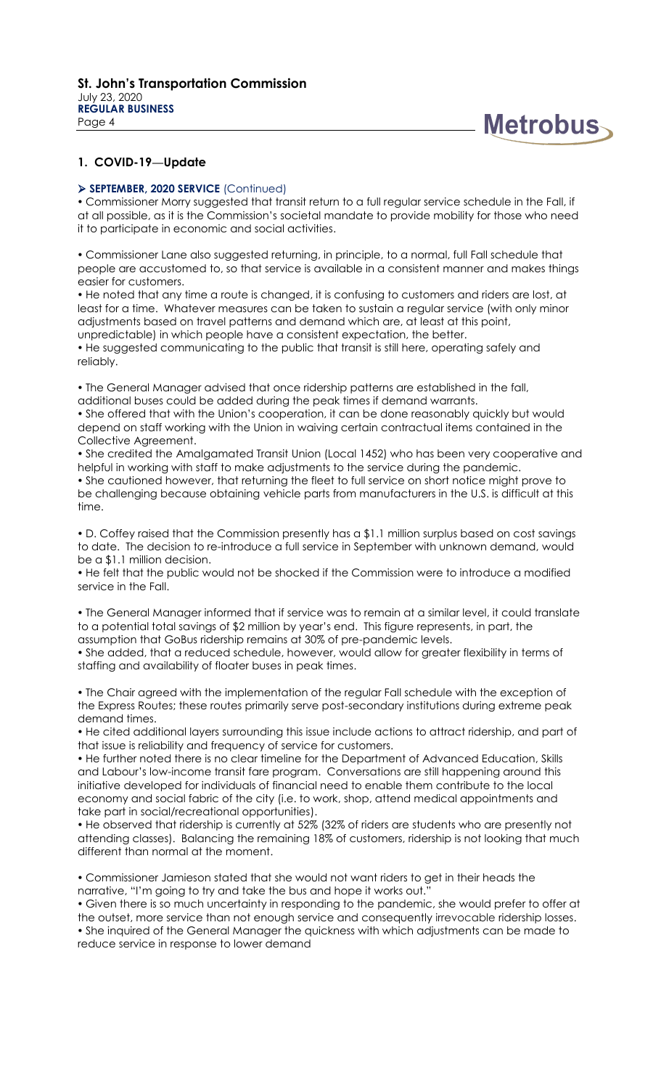

#### **SEPTEMBER, 2020 SERVICE** (Continued)

 Commissioner Morry suggested that transit return to a full regular service schedule in the Fall, if at all possible, as it is the Commission's societal mandate to provide mobility for those who need it to participate in economic and social activities.

 Commissioner Lane also suggested returning, in principle, to a normal, full Fall schedule that people are accustomed to, so that service is available in a consistent manner and makes things easier for customers.

 He noted that any time a route is changed, it is confusing to customers and riders are lost, at least for a time. Whatever measures can be taken to sustain a regular service (with only minor adjustments based on travel patterns and demand which are, at least at this point, unpredictable) in which people have a consistent expectation, the better.

 He suggested communicating to the public that transit is still here, operating safely and reliably.

 The General Manager advised that once ridership patterns are established in the fall, additional buses could be added during the peak times if demand warrants.

 She offered that with the Union's cooperation, it can be done reasonably quickly but would depend on staff working with the Union in waiving certain contractual items contained in the Collective Agreement.

 She credited the Amalgamated Transit Union (Local 1452) who has been very cooperative and helpful in working with staff to make adjustments to the service during the pandemic.

 She cautioned however, that returning the fleet to full service on short notice might prove to be challenging because obtaining vehicle parts from manufacturers in the U.S. is difficult at this time.

 D. Coffey raised that the Commission presently has a \$1.1 million surplus based on cost savings to date. The decision to re-introduce a full service in September with unknown demand, would be a \$1.1 million decision.

 He felt that the public would not be shocked if the Commission were to introduce a modified service in the Fall.

 The General Manager informed that if service was to remain at a similar level, it could translate to a potential total savings of \$2 million by year's end. This figure represents, in part, the assumption that GoBus ridership remains at 30% of pre-pandemic levels.

 She added, that a reduced schedule, however, would allow for greater flexibility in terms of staffing and availability of floater buses in peak times.

 The Chair agreed with the implementation of the regular Fall schedule with the exception of the Express Routes; these routes primarily serve post-secondary institutions during extreme peak demand times.

 He cited additional layers surrounding this issue include actions to attract ridership, and part of that issue is reliability and frequency of service for customers.

 He further noted there is no clear timeline for the Department of Advanced Education, Skills and Labour's low-income transit fare program. Conversations are still happening around this initiative developed for individuals of financial need to enable them contribute to the local economy and social fabric of the city (i.e. to work, shop, attend medical appointments and take part in social/recreational opportunities).

 He observed that ridership is currently at 52% (32% of riders are students who are presently not attending classes). Balancing the remaining 18% of customers, ridership is not looking that much different than normal at the moment.

 Commissioner Jamieson stated that she would not want riders to get in their heads the narrative, "I'm going to try and take the bus and hope it works out."

 Given there is so much uncertainty in responding to the pandemic, she would prefer to offer at the outset, more service than not enough service and consequently irrevocable ridership losses. She inquired of the General Manager the quickness with which adjustments can be made to reduce service in response to lower demand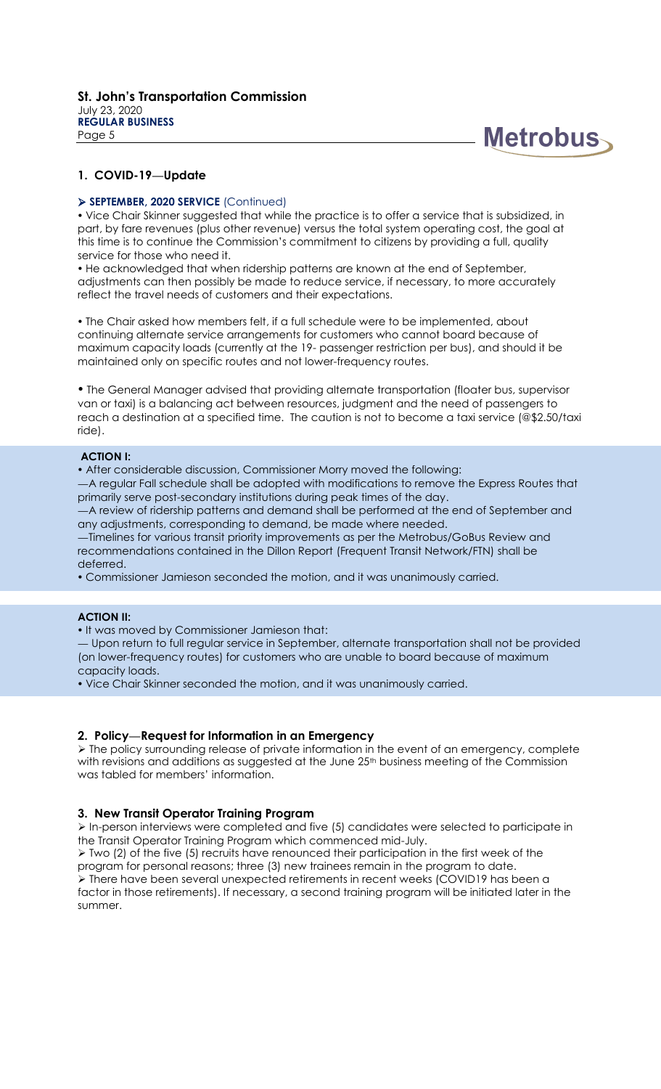

#### **SEPTEMBER, 2020 SERVICE** (Continued)

 Vice Chair Skinner suggested that while the practice is to offer a service that is subsidized, in part, by fare revenues (plus other revenue) versus the total system operating cost, the goal at this time is to continue the Commission's commitment to citizens by providing a full, quality service for those who need it.

 He acknowledged that when ridership patterns are known at the end of September, adjustments can then possibly be made to reduce service, if necessary, to more accurately reflect the travel needs of customers and their expectations.

 The Chair asked how members felt, if a full schedule were to be implemented, about continuing alternate service arrangements for customers who cannot board because of maximum capacity loads (currently at the 19- passenger restriction per bus), and should it be maintained only on specific routes and not lower-frequency routes.

 The General Manager advised that providing alternate transportation (floater bus, supervisor van or taxi) is a balancing act between resources, judgment and the need of passengers to reach a destination at a specified time. The caution is not to become a taxi service (@\$2.50/taxi ride).

#### **ACTION I:**

After considerable discussion, Commissioner Morry moved the following:

—A regular Fall schedule shall be adopted with modifications to remove the Express Routes that primarily serve post-secondary institutions during peak times of the day.

—A review of ridership patterns and demand shall be performed at the end of September and any adjustments, corresponding to demand, be made where needed.

—Timelines for various transit priority improvements as per the Metrobus/GoBus Review and recommendations contained in the Dillon Report (Frequent Transit Network/FTN) shall be deferred.

Commissioner Jamieson seconded the motion, and it was unanimously carried.

### **ACTION II:**

• It was moved by Commissioner Jamieson that:

— Upon return to full regular service in September, alternate transportation shall not be provided (on lower-frequency routes) for customers who are unable to board because of maximum capacity loads.

Vice Chair Skinner seconded the motion, and it was unanimously carried.

## **2. Policy—Request for Information in an Emergency**

 $\triangleright$  The policy surrounding release of private information in the event of an emergency, complete with revisions and additions as suggested at the June 25<sup>th</sup> business meeting of the Commission was tabled for members' information.

## **3. New Transit Operator Training Program**

 In-person interviews were completed and five (5) candidates were selected to participate in the Transit Operator Training Program which commenced mid-July.

 $\triangleright$  Two (2) of the five (5) recruits have renounced their participation in the first week of the program for personal reasons; three (3) new trainees remain in the program to date. There have been several unexpected retirements in recent weeks (COVID19 has been a factor in those retirements). If necessary, a second training program will be initiated later in the summer.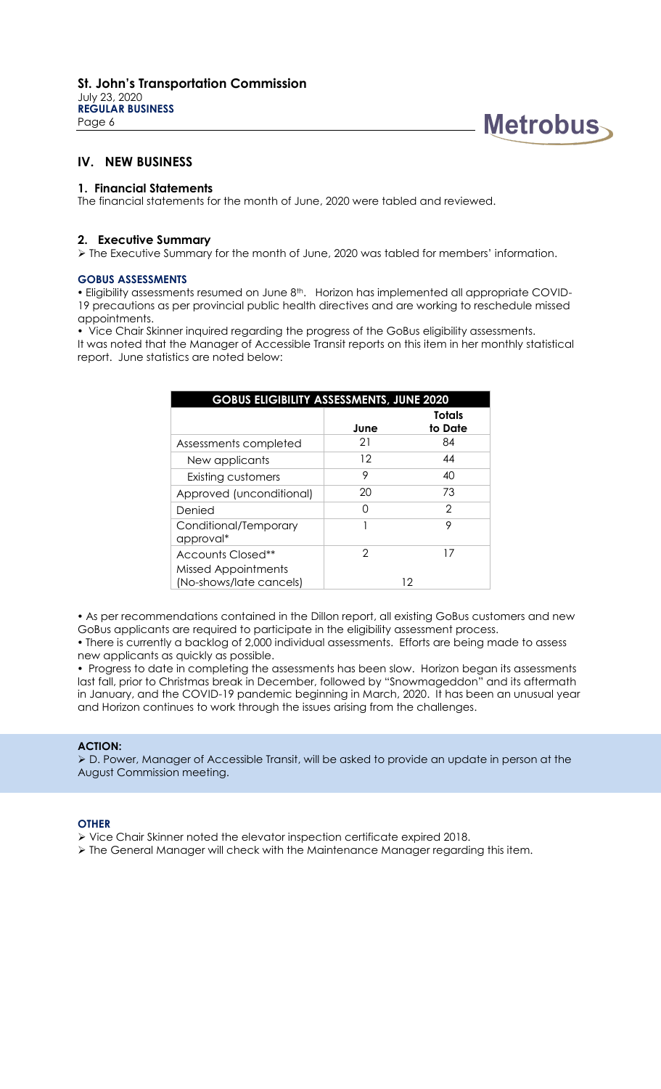July 23, 2020 **REGULAR BUSINESS** Page 6



## **IV. NEW BUSINESS**

## **1. Financial Statements**

The financial statements for the month of June, 2020 were tabled and reviewed.

## **2. Executive Summary**

The Executive Summary for the month of June, 2020 was tabled for members' information.

#### **GOBUS ASSESSMENTS**

• Eligibility assessments resumed on June 8<sup>th</sup>. Horizon has implemented all appropriate COVID-19 precautions as per provincial public health directives and are working to reschedule missed appointments.

 Vice Chair Skinner inquired regarding the progress of the GoBus eligibility assessments. It was noted that the Manager of Accessible Transit reports on this item in her monthly statistical report. June statistics are noted below:

| <b>GOBUS ELIGIBILITY ASSESSMENTS, JUNE 2020</b> |      |                          |  |  |
|-------------------------------------------------|------|--------------------------|--|--|
|                                                 | June | <b>Totals</b><br>to Date |  |  |
| Assessments completed                           | 21   | 84                       |  |  |
| New applicants                                  | 12   | 44                       |  |  |
| <b>Existing customers</b>                       | 9    | 40                       |  |  |
| Approved (unconditional)                        | 20   | 73                       |  |  |
| Denied                                          | ∩    | 2                        |  |  |
| Conditional/Temporary<br>approval*              |      | 9                        |  |  |
| Accounts Closed**<br><b>Missed Appointments</b> | 2    | 17                       |  |  |
| (No-shows/late cancels)                         | 12   |                          |  |  |

 As per recommendations contained in the Dillon report, all existing GoBus customers and new GoBus applicants are required to participate in the eligibility assessment process.

 There is currently a backlog of 2,000 individual assessments. Efforts are being made to assess new applicants as quickly as possible.

• Progress to date in completing the assessments has been slow. Horizon began its assessments last fall, prior to Christmas break in December, followed by "Snowmageddon" and its aftermath in January, and the COVID-19 pandemic beginning in March, 2020. It has been an unusual year and Horizon continues to work through the issues arising from the challenges.

#### **ACTION:**

 D. Power, Manager of Accessible Transit, will be asked to provide an update in person at the August Commission meeting.

#### **OTHER**

- Vice Chair Skinner noted the elevator inspection certificate expired 2018.
- > The General Manager will check with the Maintenance Manager regarding this item.